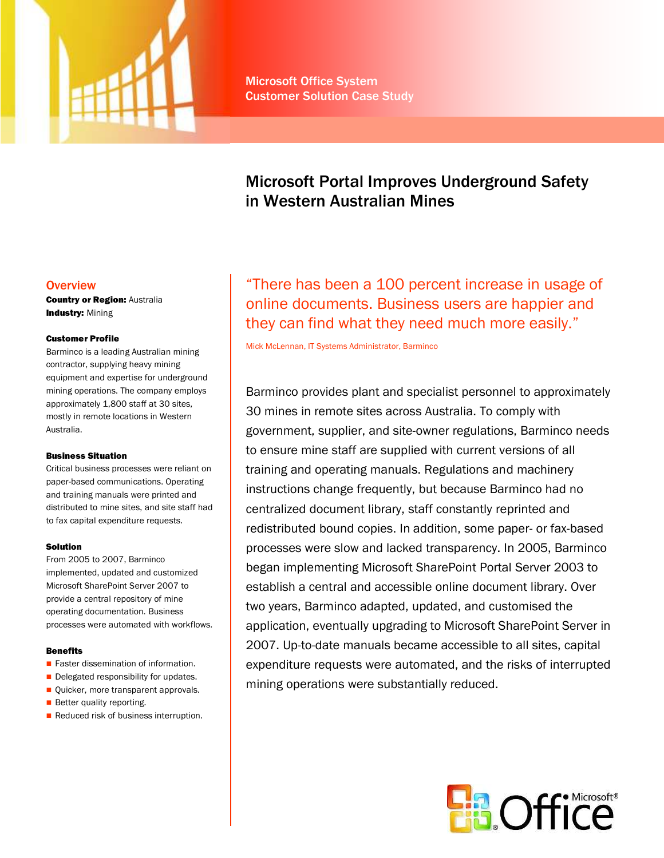

# Microsoft Portal Improves Underground Safety in Western Australian Mines

# **Overview**

**Country or Region: Australia Industry: Mining** 

## Customer Profile

Barminco is a leading Australian mining contractor, supplying heavy mining equipment and expertise for underground mining operations. The company employs approximately 1,800 staff at 30 sites, mostly in remote locations in Western Australia.

#### Business Situation

Critical business processes were reliant on paper-based communications. Operating and training manuals were printed and distributed to mine sites, and site staff had to fax capital expenditure requests.

# Solution

From 2005 to 2007, Barminco implemented, updated and customized Microsoft SharePoint Server 2007 to provide a central repository of mine operating documentation. Business processes were automated with workflows.

# **Benefits**

- **Faster dissemination of information.**
- Delegated responsibility for updates.
- **Quicker, more transparent approvals.**
- **Better quality reporting.**
- Reduced risk of business interruption.

"There has been a 100 percent increase in usage of online documents. Business users are happier and they can find what they need much more easily."

Mick McLennan, IT Systems Administrator, Barminco

Barminco provides plant and specialist personnel to approximately 30 mines in remote sites across Australia. To comply with government, supplier, and site-owner regulations, Barminco needs to ensure mine staff are supplied with current versions of all training and operating manuals. Regulations and machinery instructions change frequently, but because Barminco had no centralized document library, staff constantly reprinted and redistributed bound copies. In addition, some paper- or fax-based processes were slow and lacked transparency. In 2005, Barminco began implementing Microsoft SharePoint Portal Server 2003 to establish a central and accessible online document library. Over two years, Barminco adapted, updated, and customised the application, eventually upgrading to Microsoft SharePoint Server in 2007. Up-to-date manuals became accessible to all sites, capital expenditure requests were automated, and the risks of interrupted mining operations were substantially reduced.

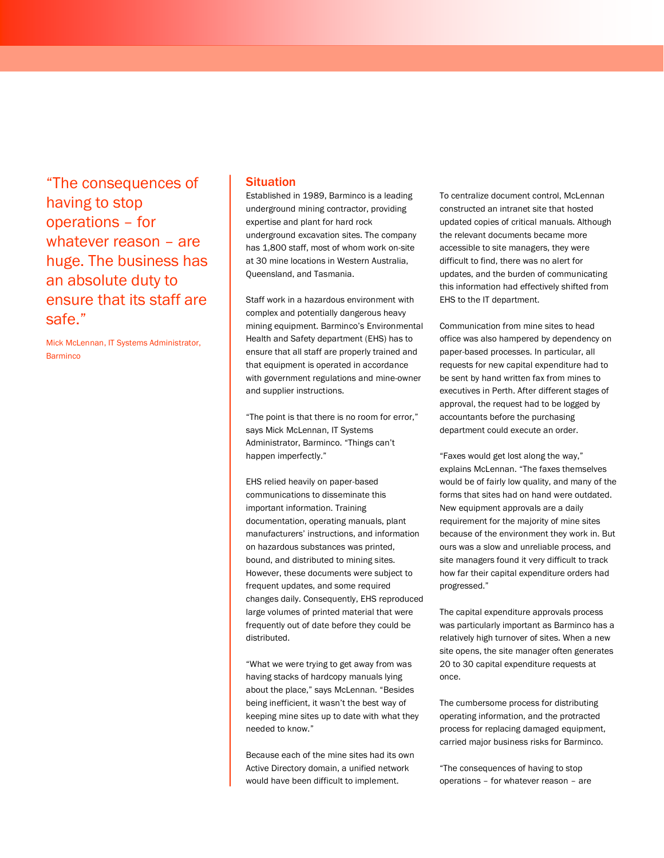"The consequences of having to stop operations – for whatever reason – are huge. The business has an absolute duty to ensure that its staff are safe."

Mick McLennan, IT Systems Administrator, **Barminco** 

## **Situation**

Established in 1989, Barminco is a leading underground mining contractor, providing expertise and plant for hard rock underground excavation sites. The company has 1,800 staff, most of whom work on-site at 30 mine locations in Western Australia, Queensland, and Tasmania.

Staff work in a hazardous environment with complex and potentially dangerous heavy mining equipment. Barminco's Environmental Health and Safety department (EHS) has to ensure that all staff are properly trained and that equipment is operated in accordance with government regulations and mine-owner and supplier instructions.

"The point is that there is no room for error," says Mick McLennan, IT Systems Administrator, Barminco. "Things can't happen imperfectly."

EHS relied heavily on paper-based communications to disseminate this important information. Training documentation, operating manuals, plant manufacturers' instructions, and information on hazardous substances was printed, bound, and distributed to mining sites. However, these documents were subject to frequent updates, and some required changes daily. Consequently, EHS reproduced large volumes of printed material that were frequently out of date before they could be distributed.

"What we were trying to get away from was having stacks of hardcopy manuals lying about the place," says McLennan. "Besides being inefficient, it wasn't the best way of keeping mine sites up to date with what they needed to know."

Because each of the mine sites had its own Active Directory domain, a unified network would have been difficult to implement.

To centralize document control, McLennan constructed an intranet site that hosted updated copies of critical manuals. Although the relevant documents became more accessible to site managers, they were difficult to find, there was no alert for updates, and the burden of communicating this information had effectively shifted from EHS to the IT department.

Communication from mine sites to head office was also hampered by dependency on paper-based processes. In particular, all requests for new capital expenditure had to be sent by hand written fax from mines to executives in Perth. After different stages of approval, the request had to be logged by accountants before the purchasing department could execute an order.

"Faxes would get lost along the way," explains McLennan. "The faxes themselves would be of fairly low quality, and many of the forms that sites had on hand were outdated. New equipment approvals are a daily requirement for the majority of mine sites because of the environment they work in. But ours was a slow and unreliable process, and site managers found it very difficult to track how far their capital expenditure orders had progressed."

The capital expenditure approvals process was particularly important as Barminco has a relatively high turnover of sites. When a new site opens, the site manager often generates 20 to 30 capital expenditure requests at once.

The cumbersome process for distributing operating information, and the protracted process for replacing damaged equipment, carried major business risks for Barminco.

"The consequences of having to stop operations – for whatever reason – are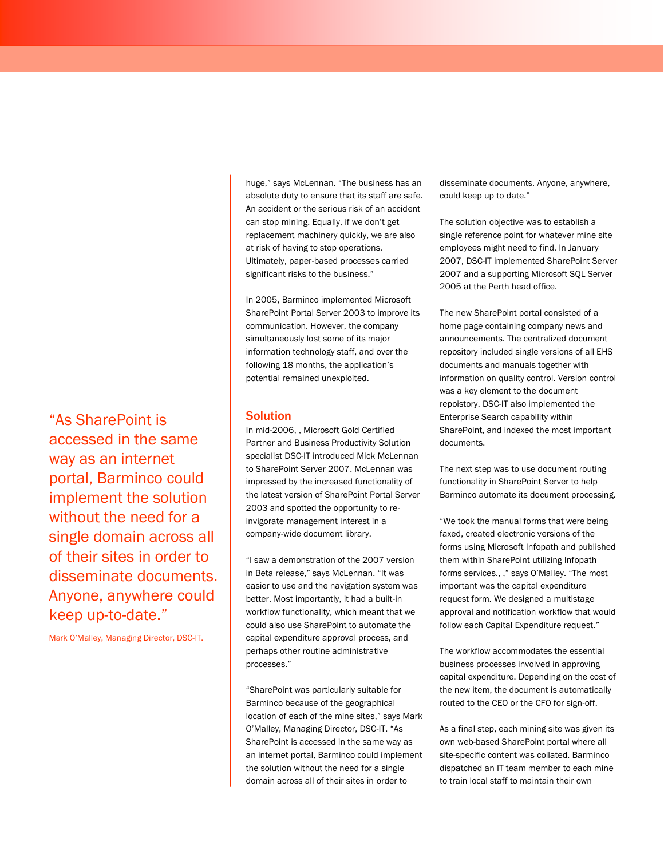"As SharePoint is accessed in the same way as an internet portal, Barminco could implement the solution without the need for a single domain across all of their sites in order to disseminate documents. Anyone, anywhere could keep up-to-date."

Mark O'Malley, Managing Director, DSC-IT.

huge," says McLennan. "The business has an absolute duty to ensure that its staff are safe. An accident or the serious risk of an accident can stop mining. Equally, if we don't get replacement machinery quickly, we are also at risk of having to stop operations. Ultimately, paper-based processes carried significant risks to the business."

In 2005, Barminco implemented Microsoft SharePoint Portal Server 2003 to improve its communication. However, the company simultaneously lost some of its major information technology staff, and over the following 18 months, the application's potential remained unexploited.

# **Solution**

In mid-2006, , Microsoft Gold Certified Partner and Business Productivity Solution specialist DSC-IT introduced Mick McLennan to SharePoint Server 2007. McLennan was impressed by the increased functionality of the latest version of SharePoint Portal Server 2003 and spotted the opportunity to reinvigorate management interest in a company-wide document library.

"I saw a demonstration of the 2007 version in Beta release," says McLennan. "It was easier to use and the navigation system was better. Most importantly, it had a built-in workflow functionality, which meant that we could also use SharePoint to automate the capital expenditure approval process, and perhaps other routine administrative processes."

"SharePoint was particularly suitable for Barminco because of the geographical location of each of the mine sites," says Mark O'Malley, Managing Director, DSC-IT. "As SharePoint is accessed in the same way as an internet portal, Barminco could implement the solution without the need for a single domain across all of their sites in order to

disseminate documents. Anyone, anywhere, could keep up to date."

The solution objective was to establish a single reference point for whatever mine site employees might need to find. In January 2007, DSC-IT implemented SharePoint Server 2007 and a supporting Microsoft SQL Server 2005 at the Perth head office.

The new SharePoint portal consisted of a home page containing company news and announcements. The centralized document repository included single versions of all EHS documents and manuals together with information on quality control. Version control was a key element to the document repoistory. DSC-IT also implemented the Enterprise Search capability within SharePoint, and indexed the most important documents.

The next step was to use document routing functionality in SharePoint Server to help Barminco automate its document processing.

"We took the manual forms that were being faxed, created electronic versions of the forms using Microsoft Infopath and published them within SharePoint utilizing Infopath forms services., ," says O'Malley. "The most important was the capital expenditure request form. We designed a multistage approval and notification workflow that would follow each Capital Expenditure request."

The workflow accommodates the essential business processes involved in approving capital expenditure. Depending on the cost of the new item, the document is automatically routed to the CEO or the CFO for sign-off.

As a final step, each mining site was given its own web-based SharePoint portal where all site-specific content was collated. Barminco dispatched an IT team member to each mine to train local staff to maintain their own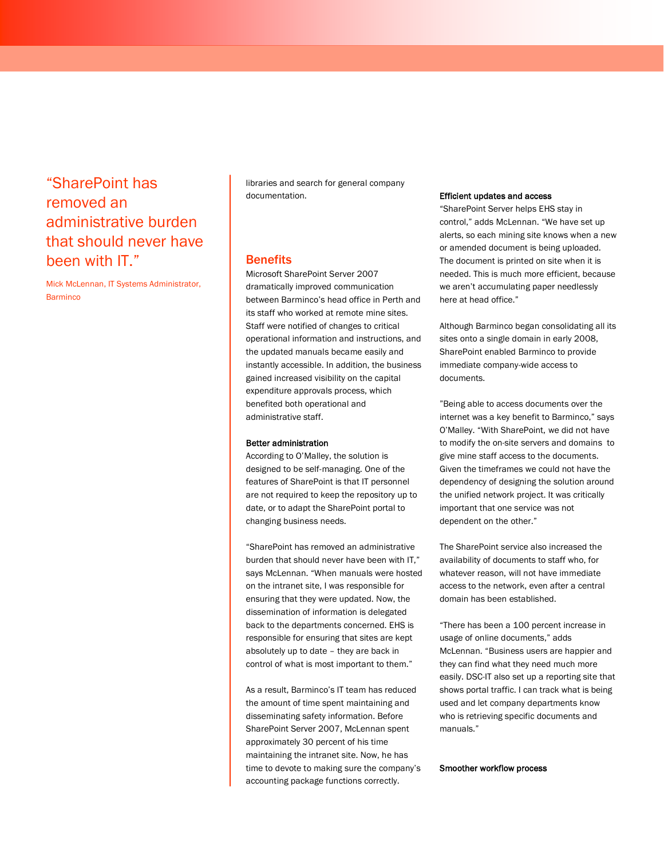# "SharePoint has removed an administrative burden that should never have been with IT."

Mick McLennan, IT Systems Administrator, **Barminco** 

libraries and search for general company documentation.

# **Benefits**

Microsoft SharePoint Server 2007 dramatically improved communication between Barminco's head office in Perth and its staff who worked at remote mine sites. Staff were notified of changes to critical operational information and instructions, and the updated manuals became easily and instantly accessible. In addition, the business gained increased visibility on the capital expenditure approvals process, which benefited both operational and administrative staff.

#### Better administration

According to O'Malley, the solution is designed to be self-managing. One of the features of SharePoint is that IT personnel are not required to keep the repository up to date, or to adapt the SharePoint portal to changing business needs.

"SharePoint has removed an administrative burden that should never have been with IT," says McLennan. "When manuals were hosted on the intranet site, I was responsible for ensuring that they were updated. Now, the dissemination of information is delegated back to the departments concerned. EHS is responsible for ensuring that sites are kept absolutely up to date – they are back in control of what is most important to them."

As a result, Barminco's IT team has reduced the amount of time spent maintaining and disseminating safety information. Before SharePoint Server 2007, McLennan spent approximately 30 percent of his time maintaining the intranet site. Now, he has time to devote to making sure the company's accounting package functions correctly.

#### Efficient updates and access

"SharePoint Server helps EHS stay in control," adds McLennan. "We have set up alerts, so each mining site knows when a new or amended document is being uploaded. The document is printed on site when it is needed. This is much more efficient, because we aren't accumulating paper needlessly here at head office."

Although Barminco began consolidating all its sites onto a single domain in early 2008, SharePoint enabled Barminco to provide immediate company-wide access to documents.

"Being able to access documents over the internet was a key benefit to Barminco," says O'Malley. "With SharePoint, we did not have to modify the on-site servers and domains to give mine staff access to the documents. Given the timeframes we could not have the dependency of designing the solution around the unified network project. It was critically important that one service was not dependent on the other."

The SharePoint service also increased the availability of documents to staff who, for whatever reason, will not have immediate access to the network, even after a central domain has been established.

"There has been a 100 percent increase in usage of online documents," adds McLennan. "Business users are happier and they can find what they need much more easily. DSC-IT also set up a reporting site that shows portal traffic. I can track what is being used and let company departments know who is retrieving specific documents and manuals."

#### Smoother workflow process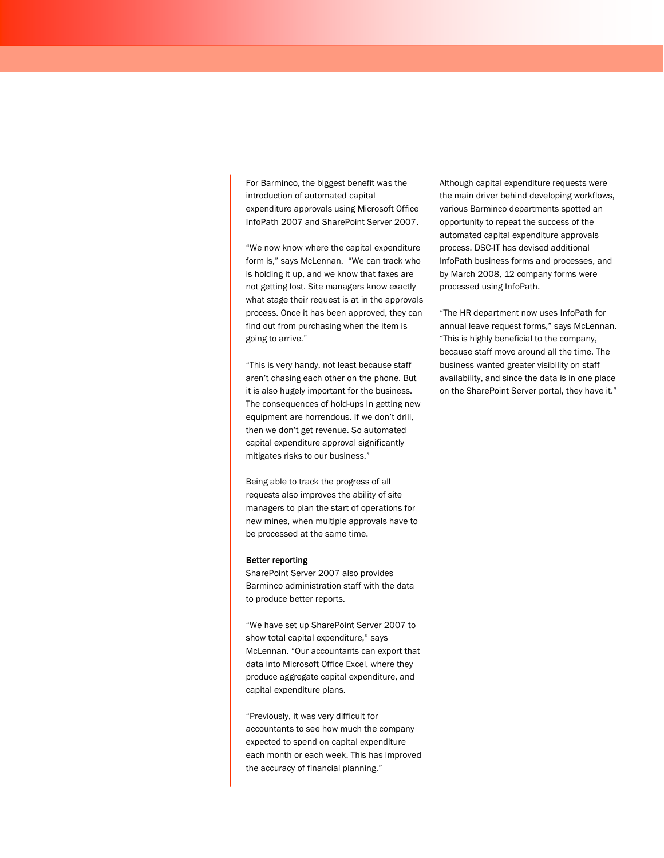For Barminco, the biggest benefit was the introduction of automated capital expenditure approvals using Microsoft Office InfoPath 2007 and SharePoint Server 2007.

"We now know where the capital expenditure form is," says McLennan. "We can track who is holding it up, and we know that faxes are not getting lost. Site managers know exactly what stage their request is at in the approvals process. Once it has been approved, they can find out from purchasing when the item is going to arrive."

"This is very handy, not least because staff aren't chasing each other on the phone. But it is also hugely important for the business. The consequences of hold-ups in getting new equipment are horrendous. If we don't drill, then we don't get revenue. So automated capital expenditure approval significantly mitigates risks to our business."

Being able to track the progress of all requests also improves the ability of site managers to plan the start of operations for new mines, when multiple approvals have to be processed at the same time.

#### Better reporting

SharePoint Server 2007 also provides Barminco administration staff with the data to produce better reports.

"We have set up SharePoint Server 2007 to show total capital expenditure," says McLennan. "Our accountants can export that data into Microsoft Office Excel, where they produce aggregate capital expenditure, and capital expenditure plans.

"Previously, it was very difficult for accountants to see how much the company expected to spend on capital expenditure each month or each week. This has improved the accuracy of financial planning."

Although capital expenditure requests were the main driver behind developing workflows, various Barminco departments spotted an opportunity to repeat the success of the automated capital expenditure approvals process. DSC-IT has devised additional InfoPath business forms and processes, and by March 2008, 12 company forms were processed using InfoPath.

"The HR department now uses InfoPath for annual leave request forms," says McLennan. "This is highly beneficial to the company, because staff move around all the time. The business wanted greater visibility on staff availability, and since the data is in one place on the SharePoint Server portal, they have it."